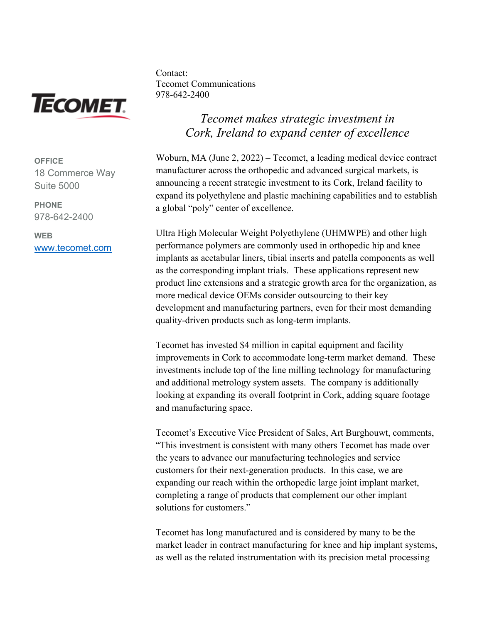

**OFFICE** 18 Commerce Way Suite 5000

**PHONE** 978-642-2400

**WEB** [www.tecomet.com](http://www.tecomet.com/) Contact: Tecomet Communications 978-642-2400

## *Tecomet makes strategic investment in Cork, Ireland to expand center of excellence*

Woburn, MA (June 2, 2022) – Tecomet, a leading medical device contract manufacturer across the orthopedic and advanced surgical markets, is announcing a recent strategic investment to its Cork, Ireland facility to expand its polyethylene and plastic machining capabilities and to establish a global "poly" center of excellence.

Ultra High Molecular Weight Polyethylene (UHMWPE) and other high performance polymers are commonly used in orthopedic hip and knee implants as acetabular liners, tibial inserts and patella components as well as the corresponding implant trials. These applications represent new product line extensions and a strategic growth area for the organization, as more medical device OEMs consider outsourcing to their key development and manufacturing partners, even for their most demanding quality-driven products such as long-term implants.

Tecomet has invested \$4 million in capital equipment and facility improvements in Cork to accommodate long-term market demand. These investments include top of the line milling technology for manufacturing and additional metrology system assets. The company is additionally looking at expanding its overall footprint in Cork, adding square footage and manufacturing space.

Tecomet's Executive Vice President of Sales, Art Burghouwt, comments, "This investment is consistent with many others Tecomet has made over the years to advance our manufacturing technologies and service customers for their next-generation products. In this case, we are expanding our reach within the orthopedic large joint implant market, completing a range of products that complement our other implant solutions for customers."

Tecomet has long manufactured and is considered by many to be the market leader in contract manufacturing for knee and hip implant systems, as well as the related instrumentation with its precision metal processing